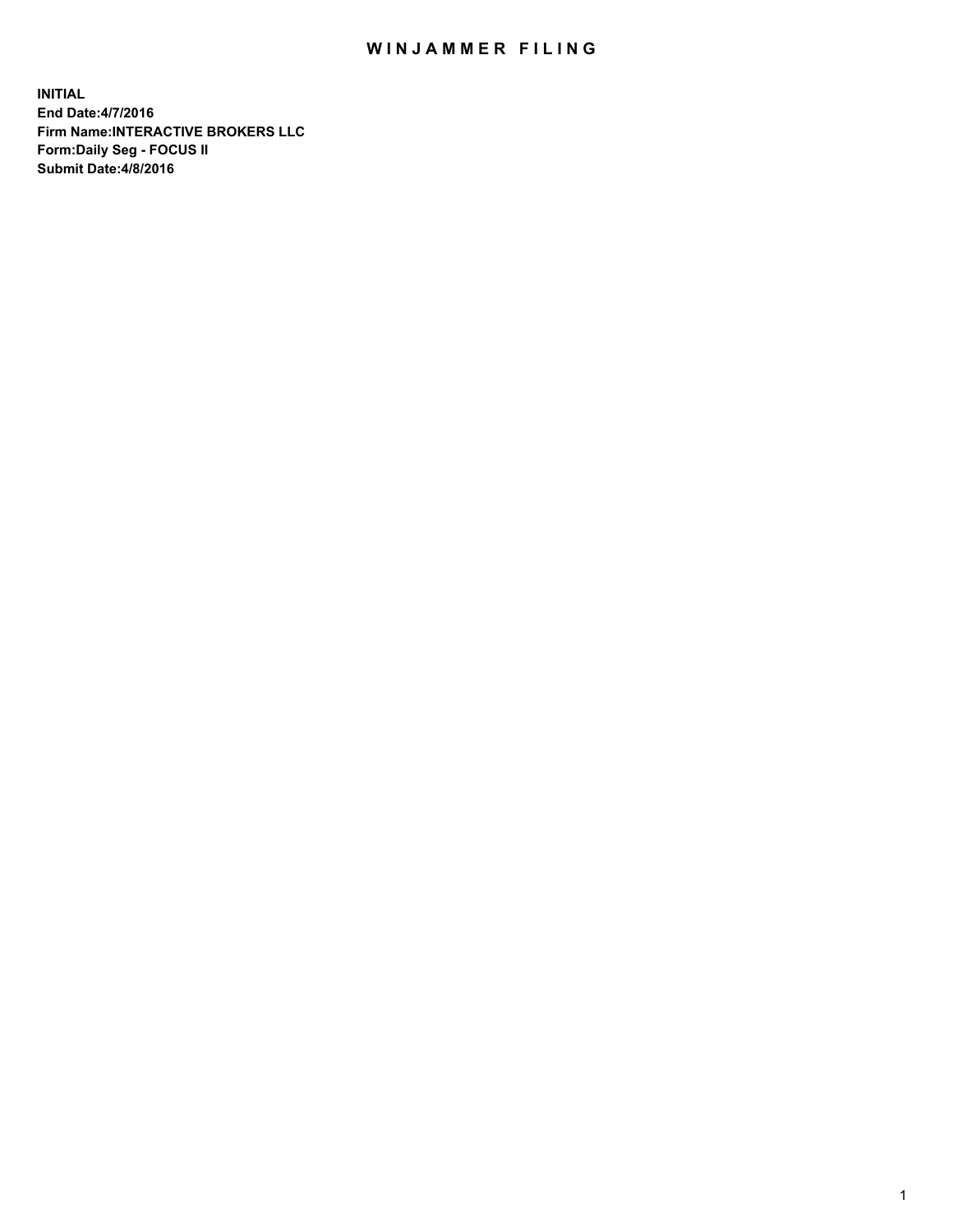## WIN JAMMER FILING

**INITIAL End Date:4/7/2016 Firm Name:INTERACTIVE BROKERS LLC Form:Daily Seg - FOCUS II Submit Date:4/8/2016**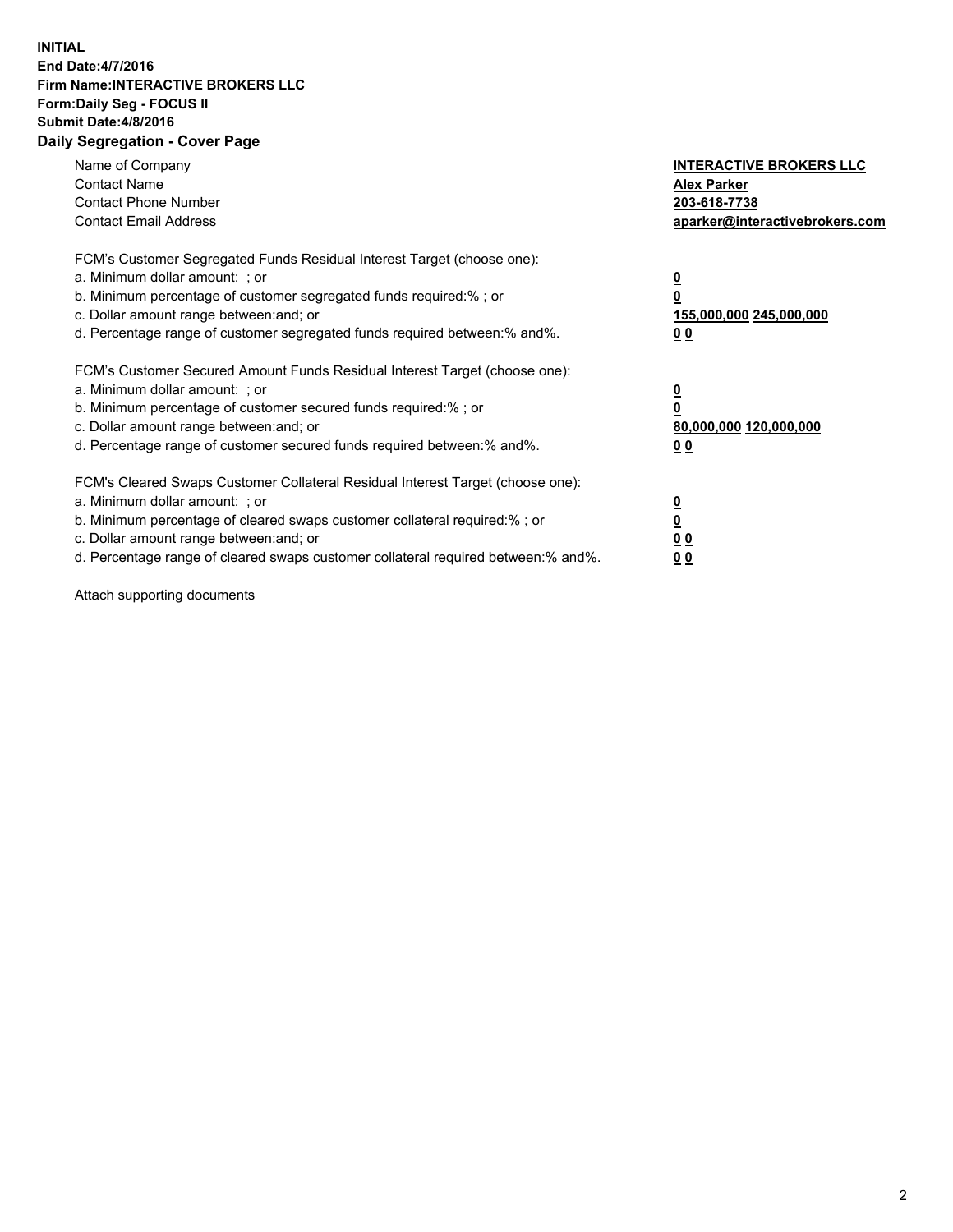## **INITIAL End Date:4/7/2016 Firm Name:INTERACTIVE BROKERS LLC Form:Daily Seg - FOCUS II Submit Date:4/8/2016 Daily Segregation - Cover Page**

| Name of Company<br><b>Contact Name</b><br><b>Contact Phone Number</b><br><b>Contact Email Address</b>                                                                                                                                                                                                                          | <b>INTERACTIVE BROKERS LLC</b><br><b>Alex Parker</b><br>203-618-7738<br>aparker@interactivebrokers.com |
|--------------------------------------------------------------------------------------------------------------------------------------------------------------------------------------------------------------------------------------------------------------------------------------------------------------------------------|--------------------------------------------------------------------------------------------------------|
| FCM's Customer Segregated Funds Residual Interest Target (choose one):<br>a. Minimum dollar amount: ; or<br>b. Minimum percentage of customer segregated funds required:%; or<br>c. Dollar amount range between: and; or<br>d. Percentage range of customer segregated funds required between:% and%.                          | <u>0</u><br>155,000,000 245,000,000<br><u>00</u>                                                       |
| FCM's Customer Secured Amount Funds Residual Interest Target (choose one):<br>a. Minimum dollar amount: ; or<br>b. Minimum percentage of customer secured funds required:%; or<br>c. Dollar amount range between: and; or<br>d. Percentage range of customer secured funds required between:% and%.                            | <u>0</u><br>80,000,000 120,000,000<br>0 <sub>0</sub>                                                   |
| FCM's Cleared Swaps Customer Collateral Residual Interest Target (choose one):<br>a. Minimum dollar amount: ; or<br>b. Minimum percentage of cleared swaps customer collateral required:% ; or<br>c. Dollar amount range between: and; or<br>d. Percentage range of cleared swaps customer collateral required between:% and%. | ₫<br>0 <sub>0</sub><br>0 <sub>0</sub>                                                                  |

Attach supporting documents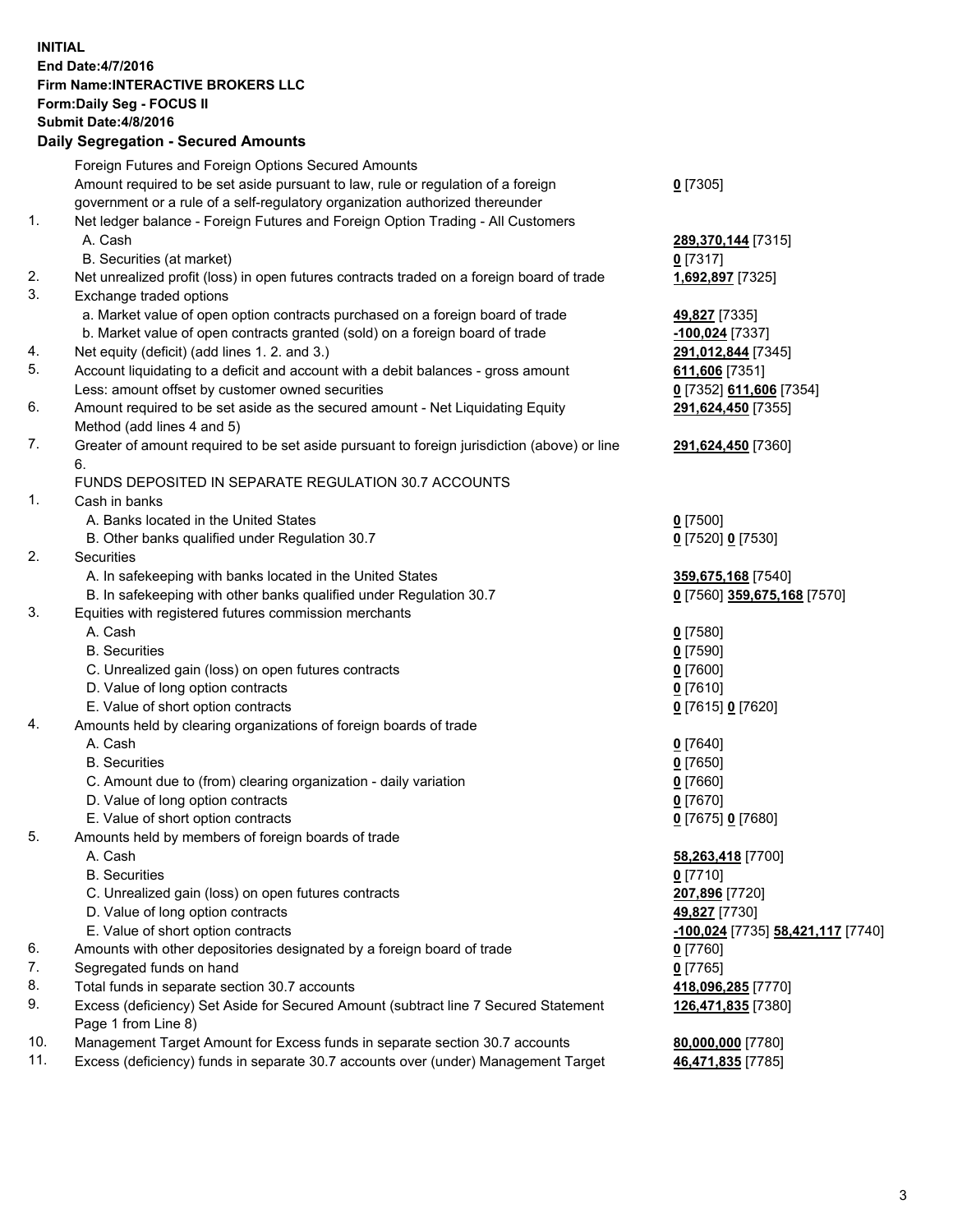## **INITIAL End Date:4/7/2016 Firm Name:INTERACTIVE BROKERS LLC Form:Daily Seg - FOCUS II Submit Date:4/8/2016 Daily Segregation - Secured Amounts**

|     | Foreign Futures and Foreign Options Secured Amounts                                                        |                                   |
|-----|------------------------------------------------------------------------------------------------------------|-----------------------------------|
|     | Amount required to be set aside pursuant to law, rule or regulation of a foreign                           | $0$ [7305]                        |
|     | government or a rule of a self-regulatory organization authorized thereunder                               |                                   |
| 1.  | Net ledger balance - Foreign Futures and Foreign Option Trading - All Customers                            |                                   |
|     | A. Cash                                                                                                    | 289,370,144 [7315]                |
|     | B. Securities (at market)                                                                                  | $0$ [7317]                        |
| 2.  | Net unrealized profit (loss) in open futures contracts traded on a foreign board of trade                  | 1,692,897 [7325]                  |
| 3.  | Exchange traded options                                                                                    |                                   |
|     | a. Market value of open option contracts purchased on a foreign board of trade                             | 49,827 [7335]                     |
|     | b. Market value of open contracts granted (sold) on a foreign board of trade                               | -100,024 [7337]                   |
| 4.  | Net equity (deficit) (add lines 1.2. and 3.)                                                               | 291,012,844 [7345]                |
| 5.  | Account liquidating to a deficit and account with a debit balances - gross amount                          | 611,606 [7351]                    |
|     | Less: amount offset by customer owned securities                                                           | 0 [7352] 611,606 [7354]           |
| 6.  | Amount required to be set aside as the secured amount - Net Liquidating Equity                             | 291,624,450 [7355]                |
|     | Method (add lines 4 and 5)                                                                                 |                                   |
| 7.  | Greater of amount required to be set aside pursuant to foreign jurisdiction (above) or line                | 291,624,450 [7360]                |
|     | 6.                                                                                                         |                                   |
|     | FUNDS DEPOSITED IN SEPARATE REGULATION 30.7 ACCOUNTS                                                       |                                   |
| 1.  | Cash in banks                                                                                              |                                   |
|     | A. Banks located in the United States                                                                      | $Q$ [7500]                        |
|     | B. Other banks qualified under Regulation 30.7                                                             | 0 [7520] 0 [7530]                 |
| 2.  | Securities                                                                                                 |                                   |
|     | A. In safekeeping with banks located in the United States                                                  | 359,675,168 [7540]                |
|     | B. In safekeeping with other banks qualified under Regulation 30.7                                         | 0 [7560] 359,675,168 [7570]       |
| 3.  | Equities with registered futures commission merchants                                                      |                                   |
|     | A. Cash                                                                                                    | $0$ [7580]                        |
|     | <b>B.</b> Securities                                                                                       | $0$ [7590]                        |
|     | C. Unrealized gain (loss) on open futures contracts                                                        | $0$ [7600]                        |
|     | D. Value of long option contracts                                                                          | $0$ [7610]                        |
|     | E. Value of short option contracts                                                                         | 0 [7615] 0 [7620]                 |
| 4.  | Amounts held by clearing organizations of foreign boards of trade                                          |                                   |
|     | A. Cash                                                                                                    | $0$ [7640]                        |
|     | <b>B.</b> Securities                                                                                       | $0$ [7650]                        |
|     | C. Amount due to (from) clearing organization - daily variation                                            | $0$ [7660]                        |
|     | D. Value of long option contracts                                                                          | $0$ [7670]                        |
|     | E. Value of short option contracts                                                                         | 0 [7675] 0 [7680]                 |
| 5.  | Amounts held by members of foreign boards of trade                                                         |                                   |
|     | A. Cash                                                                                                    | 58,263,418 [7700]                 |
|     | <b>B.</b> Securities                                                                                       | $0$ [7710]                        |
|     | C. Unrealized gain (loss) on open futures contracts                                                        | 207,896 [7720]                    |
|     | D. Value of long option contracts                                                                          | 49,827 [7730]                     |
|     | E. Value of short option contracts                                                                         | -100,024 [7735] 58,421,117 [7740] |
| 6.  | Amounts with other depositories designated by a foreign board of trade                                     | $0$ [7760]                        |
| 7.  | Segregated funds on hand                                                                                   | $0$ [7765]                        |
| 8.  | Total funds in separate section 30.7 accounts                                                              | 418,096,285 [7770]                |
| 9.  | Excess (deficiency) Set Aside for Secured Amount (subtract line 7 Secured Statement<br>Page 1 from Line 8) | 126,471,835 [7380]                |
| 10. | Management Target Amount for Excess funds in separate section 30.7 accounts                                | 80,000,000 [7780]                 |
| 11. | Excess (deficiency) funds in separate 30.7 accounts over (under) Management Target                         | 46,471,835 [7785]                 |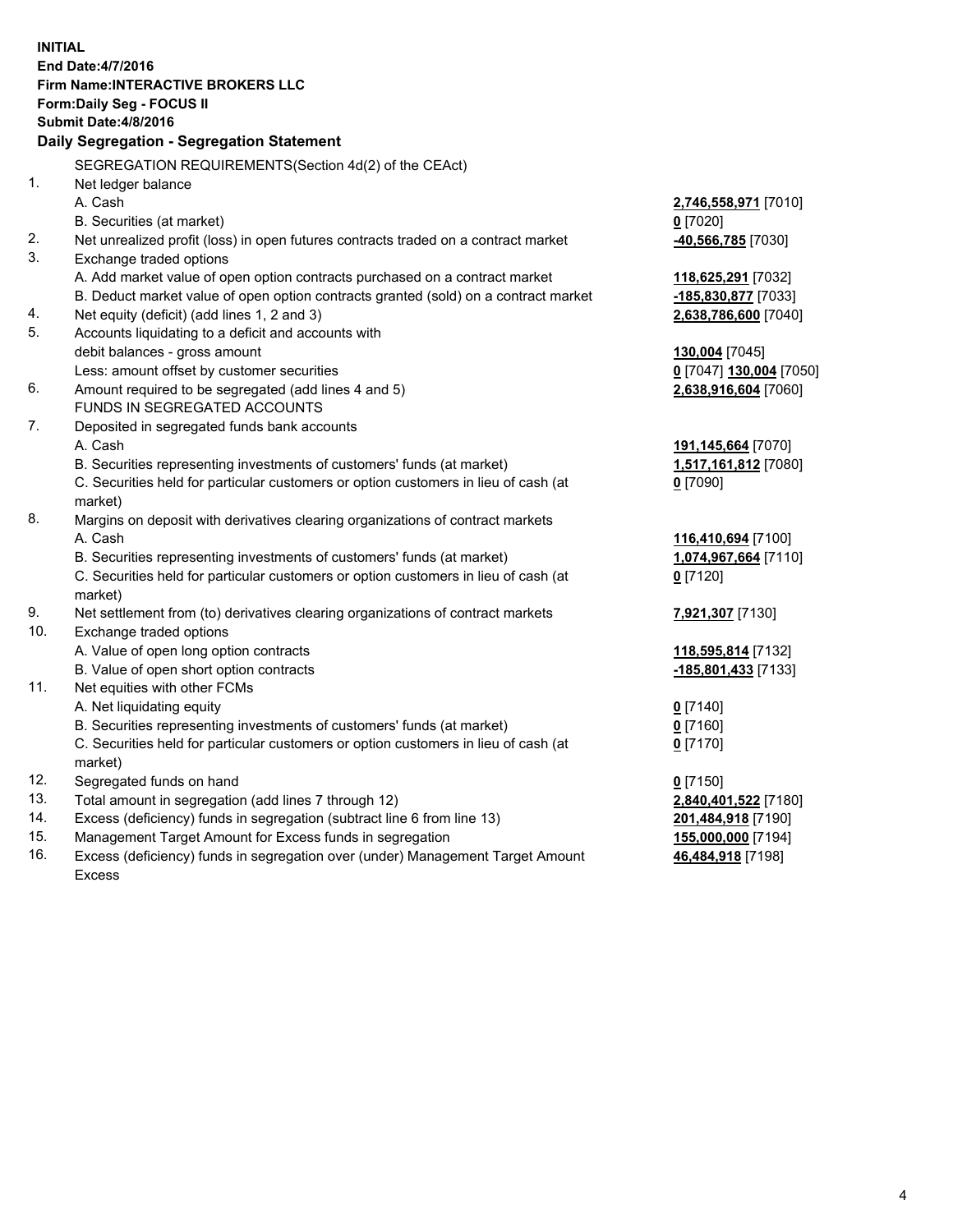**INITIAL End Date:4/7/2016 Firm Name:INTERACTIVE BROKERS LLC Form:Daily Seg - FOCUS II Submit Date:4/8/2016 Daily Segregation - Segregation Statement** SEGREGATION REQUIREMENTS(Section 4d(2) of the CEAct) 1. Net ledger balance A. Cash **2,746,558,971** [7010] B. Securities (at market) **0** [7020] 2. Net unrealized profit (loss) in open futures contracts traded on a contract market **-40,566,785** [7030] 3. Exchange traded options A. Add market value of open option contracts purchased on a contract market **118,625,291** [7032] B. Deduct market value of open option contracts granted (sold) on a contract market **-185,830,877** [7033] 4. Net equity (deficit) (add lines 1, 2 and 3) **2,638,786,600** [7040] 5. Accounts liquidating to a deficit and accounts with debit balances - gross amount **130,004** [7045] Less: amount offset by customer securities **0** [7047] **130,004** [7050] 6. Amount required to be segregated (add lines 4 and 5) **2,638,916,604** [7060] FUNDS IN SEGREGATED ACCOUNTS 7. Deposited in segregated funds bank accounts A. Cash **191,145,664** [7070] B. Securities representing investments of customers' funds (at market) **1,517,161,812** [7080] C. Securities held for particular customers or option customers in lieu of cash (at market) **0** [7090] 8. Margins on deposit with derivatives clearing organizations of contract markets A. Cash **116,410,694** [7100] B. Securities representing investments of customers' funds (at market) **1,074,967,664** [7110] C. Securities held for particular customers or option customers in lieu of cash (at market) **0** [7120] 9. Net settlement from (to) derivatives clearing organizations of contract markets **7,921,307** [7130] 10. Exchange traded options A. Value of open long option contracts **118,595,814** [7132] B. Value of open short option contracts **-185,801,433** [7133] 11. Net equities with other FCMs A. Net liquidating equity **0** [7140] B. Securities representing investments of customers' funds (at market) **0** [7160] C. Securities held for particular customers or option customers in lieu of cash (at market) **0** [7170] 12. Segregated funds on hand **0** [7150] 13. Total amount in segregation (add lines 7 through 12) **2,840,401,522** [7180] 14. Excess (deficiency) funds in segregation (subtract line 6 from line 13) **201,484,918** [7190] 15. Management Target Amount for Excess funds in segregation **155,000,000** [7194] **46,484,918** [7198]

16. Excess (deficiency) funds in segregation over (under) Management Target Amount Excess